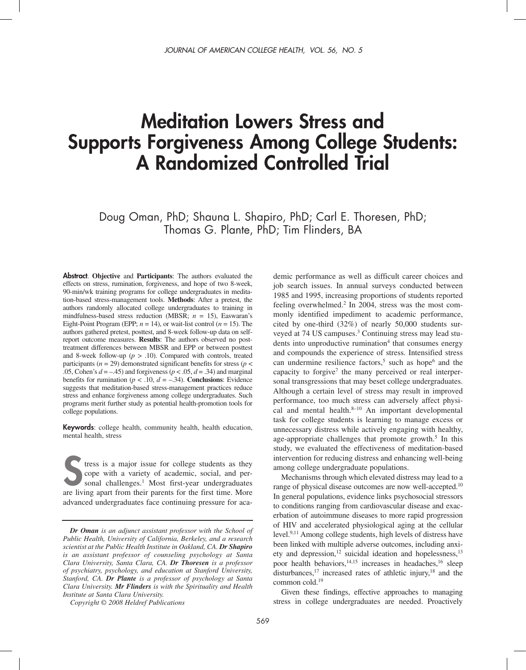# Meditation Lowers Stress and Supports Forgiveness Among College Students: A Randomized Controlled Trial

Doug Oman, PhD; Shauna L. Shapiro, PhD; Carl E. Thoresen, PhD; Thomas G. Plante, PhD; Tim Flinders, BA

Abstract. **Objective** and **Participants**: The authors evaluated the effects on stress, rumination, forgiveness, and hope of two 8-week, 90-min/wk training programs for college undergraduates in meditation-based stress-management tools. **Methods**: After a pretest, the authors randomly allocated college undergraduates to training in mindfulness-based stress reduction (MBSR; *n* = 15), Easwaran's Eight-Point Program (EPP;  $n = 14$ ), or wait-list control ( $n = 15$ ). The authors gathered pretest, posttest, and 8-week follow-up data on selfreport outcome measures. **Results**: The authors observed no posttreatment differences between MBSR and EPP or between posttest and 8-week follow-up (*p* > .10). Compared with controls, treated participants ( $n = 29$ ) demonstrated significant benefits for stress ( $p <$ .05, Cohen's *d* = –.45) and forgiveness (*p* < .05, *d* = .34) and marginal benefits for rumination ( $p < .10$ ,  $d = -.34$ ). **Conclusions**: Evidence suggests that meditation-based stress-management practices reduce stress and enhance forgiveness among college undergraduates. Such programs merit further study as potential health-promotion tools for college populations.

Keywords: college health, community health, health education, mental health, stress

tress is a major issue for college students as they cope with a variety of academic, social, and personal challenges.<sup>1</sup> Most first-year undergraduates The tress is a major issue for college students as they cope with a variety of academic, social, and personal challenges.<sup>1</sup> Most first-year undergraduates are living apart from their parents for the first time. More advanced undergraduates face continuing pressure for aca-

*Copyright © 2008 Heldref Publications*

demic performance as well as difficult career choices and job search issues. In annual surveys conducted between 1985 and 1995, increasing proportions of students reported feeling overwhelmed.<sup>2</sup> In 2004, stress was the most commonly identified impediment to academic performance, cited by one-third (32%) of nearly 50,000 students surveyed at 74 US campuses.<sup>3</sup> Continuing stress may lead students into unproductive rumination<sup>4</sup> that consumes energy and compounds the experience of stress. Intensified stress can undermine resilience factors,<sup>5</sup> such as hope<sup>6</sup> and the capacity to forgive<sup>7</sup> the many perceived or real interpersonal transgressions that may beset college undergraduates. Although a certain level of stress may result in improved performance, too much stress can adversely affect physical and mental health. $8-10$  An important developmental task for college students is learning to manage excess or unnecessary distress while actively engaging with healthy, age-appropriate challenges that promote growth.<sup>5</sup> In this study, we evaluated the effectiveness of meditation-based intervention for reducing distress and enhancing well-being among college undergraduate populations.

Mechanisms through which elevated distress may lead to a range of physical disease outcomes are now well-accepted.<sup>10</sup> In general populations, evidence links psychosocial stressors to conditions ranging from cardiovascular disease and exacerbation of autoimmune diseases to more rapid progression of HIV and accelerated physiological aging at the cellular level.9,11 Among college students, high levels of distress have been linked with multiple adverse outcomes, including anxiety and depression,<sup>12</sup> suicidal ideation and hopelessness,<sup>13</sup> poor health behaviors, $14,15$  increases in headaches, $16$  sleep disturbances,<sup>17</sup> increased rates of athletic injury,<sup>18</sup> and the common cold.19

Given these findings, effective approaches to managing stress in college undergraduates are needed. Proactively

*Dr Oman is an adjunct assistant professor with the School of Public Health, University of California, Berkeley, and a research scientist at the Public Health Institute in Oakland, CA. Dr Shapiro is an assistant professor of counseling psychology at Santa Clara University, Santa Clara, CA. Dr Thoresen is a professor of psychiatry, psychology, and education at Stanford University, Stanford, CA. Dr Plante is a professor of psychology at Santa Clara University. Mr Flinders is with the Spirituality and Health Institute at Santa Clara University.*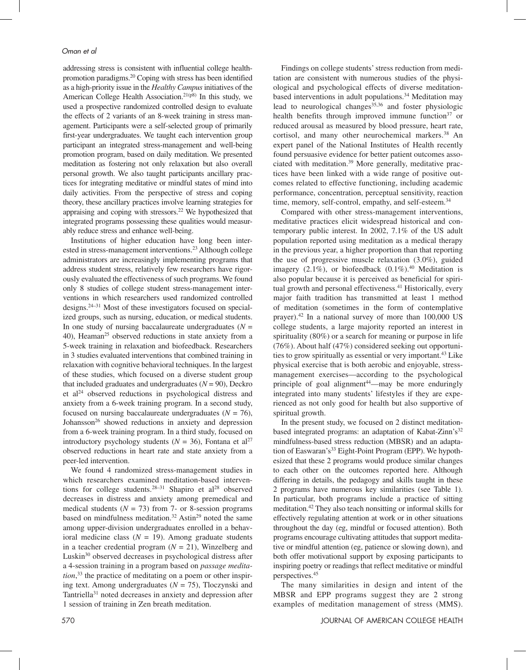addressing stress is consistent with influential college healthpromotion paradigms.20 Coping with stress has been identified as a high-priority issue in the *Healthy Campus* initiatives of the American College Health Association.<sup>21(p8)</sup> In this study, we used a prospective randomized controlled design to evaluate the effects of 2 variants of an 8-week training in stress management. Participants were a self-selected group of primarily first-year undergraduates. We taught each intervention group participant an integrated stress-management and well-being promotion program, based on daily meditation. We presented meditation as fostering not only relaxation but also overall personal growth. We also taught participants ancillary practices for integrating meditative or mindful states of mind into daily activities. From the perspective of stress and coping theory, these ancillary practices involve learning strategies for appraising and coping with stressors.22 We hypothesized that integrated programs possessing these qualities would measurably reduce stress and enhance well-being.

Institutions of higher education have long been interested in stress-management interventions.<sup>23</sup> Although college administrators are increasingly implementing programs that address student stress, relatively few researchers have rigorously evaluated the effectiveness of such programs. We found only 8 studies of college student stress-management interventions in which researchers used randomized controlled designs.24–31 Most of these investigators focused on specialized groups, such as nursing, education, or medical students. In one study of nursing baccalaureate undergraduates  $(N =$ 40), Heaman<sup>25</sup> observed reductions in state anxiety from a 5-week training in relaxation and biofeedback. Researchers in 3 studies evaluated interventions that combined training in relaxation with cognitive behavioral techniques. In the largest of these studies, which focused on a diverse student group that included graduates and undergraduates  $(N = 90)$ , Deckro et  $al<sup>24</sup>$  observed reductions in psychological distress and anxiety from a 6-week training program. In a second study, focused on nursing baccalaureate undergraduates  $(N = 76)$ , Johansson<sup>26</sup> showed reductions in anxiety and depression from a 6-week training program. In a third study, focused on introductory psychology students ( $N = 36$ ), Fontana et al<sup>27</sup> observed reductions in heart rate and state anxiety from a peer-led intervention.

We found 4 randomized stress-management studies in which researchers examined meditation-based interventions for college students.<sup>28–31</sup> Shapiro et al<sup>28</sup> observed decreases in distress and anxiety among premedical and medical students  $(N = 73)$  from 7- or 8-session programs based on mindfulness meditation.<sup>32</sup> Astin<sup>29</sup> noted the same among upper-division undergraduates enrolled in a behavioral medicine class  $(N = 19)$ . Among graduate students in a teacher credential program  $(N = 21)$ , Winzelberg and Luskin<sup>30</sup> observed decreases in psychological distress after a 4-session training in a program based on *passage meditation*, 33 the practice of meditating on a poem or other inspiring text. Among undergraduates  $(N = 75)$ , Tloczynski and Tantriella<sup>31</sup> noted decreases in anxiety and depression after 1 session of training in Zen breath meditation.

Findings on college students' stress reduction from meditation are consistent with numerous studies of the physiological and psychological effects of diverse meditationbased interventions in adult populations.<sup>34</sup> Meditation may lead to neurological changes<sup>35,36</sup> and foster physiologic health benefits through improved immune function<sup>37</sup> or reduced arousal as measured by blood pressure, heart rate, cortisol, and many other neurochemical markers.<sup>38</sup> An expert panel of the National Institutes of Health recently found persuasive evidence for better patient outcomes associated with meditation.39 More generally, meditative practices have been linked with a wide range of positive outcomes related to effective functioning, including academic performance, concentration, perceptual sensitivity, reaction time, memory, self-control, empathy, and self-esteem.<sup>34</sup>

Compared with other stress-management interventions, meditative practices elicit widespread historical and contemporary public interest. In 2002, 7.1% of the US adult population reported using meditation as a medical therapy in the previous year, a higher proportion than that reporting the use of progressive muscle relaxation (3.0%), guided imagery  $(2.1\%)$ , or biofeedback  $(0.1\%)$ .<sup>40</sup> Meditation is also popular because it is perceived as beneficial for spiritual growth and personal effectiveness.<sup>41</sup> Historically, every major faith tradition has transmitted at least 1 method of meditation (sometimes in the form of contemplative prayer).42 In a national survey of more than 100,000 US college students, a large majority reported an interest in spirituality (80%) or a search for meaning or purpose in life (76%). About half (47%) considered seeking out opportunities to grow spiritually as essential or very important.43 Like physical exercise that is both aerobic and enjoyable, stressmanagement exercises—according to the psychological principle of goal alignment<sup>44</sup>—may be more enduringly integrated into many students' lifestyles if they are experienced as not only good for health but also supportive of spiritual growth.

In the present study, we focused on 2 distinct meditationbased integrated programs: an adaptation of Kabat-Zinn's<sup>32</sup> mindfulness-based stress reduction (MBSR) and an adaptation of Easwaran's<sup>33</sup> Eight-Point Program (EPP). We hypothesized that these 2 programs would produce similar changes to each other on the outcomes reported here. Although differing in details, the pedagogy and skills taught in these 2 programs have numerous key similarities (see Table 1). In particular, both programs include a practice of sitting meditation.42 They also teach nonsitting or informal skills for effectively regulating attention at work or in other situations throughout the day (eg, mindful or focused attention). Both programs encourage cultivating attitudes that support meditative or mindful attention (eg, patience or slowing down), and both offer motivational support by exposing participants to inspiring poetry or readings that reflect meditative or mindful perspectives.45

The many similarities in design and intent of the MBSR and EPP programs suggest they are 2 strong examples of meditation management of stress (MMS).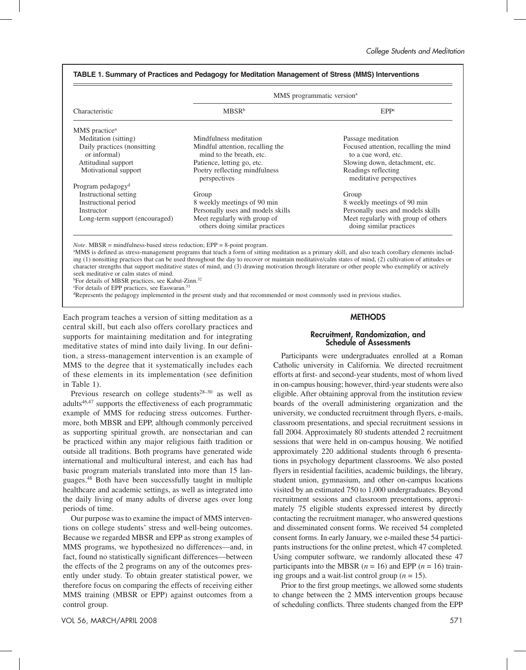|                                              | MMS programmatic version <sup>a</sup>                          |                                                                |  |  |  |
|----------------------------------------------|----------------------------------------------------------------|----------------------------------------------------------------|--|--|--|
| Characteristic                               | MBSR <sup>b</sup>                                              | EPP <sup>c</sup>                                               |  |  |  |
| MMS practice <sup>a</sup>                    |                                                                |                                                                |  |  |  |
| Meditation (sitting)                         | Mindfulness meditation                                         | Passage meditation                                             |  |  |  |
| Daily practices (nonsitting)<br>or informal) | Mindful attention, recalling the<br>mind to the breath, etc.   | Focused attention, recalling the mind<br>to a cue word, etc.   |  |  |  |
| Attitudinal support                          | Patience, letting go, etc.                                     | Slowing down, detachment, etc.                                 |  |  |  |
| Motivational support                         | Poetry reflecting mindfulness<br>perspectives                  | Readings reflecting<br>meditative perspectives                 |  |  |  |
| Program pedagogy <sup>d</sup>                |                                                                |                                                                |  |  |  |
| Instructional setting                        | Group                                                          | Group                                                          |  |  |  |
| Instructional period                         | 8 weekly meetings of 90 min                                    | 8 weekly meetings of 90 min                                    |  |  |  |
| Instructor                                   | Personally uses and models skills                              | Personally uses and models skills                              |  |  |  |
| Long-term support (encouraged)               | Meet regularly with group of<br>others doing similar practices | Meet regularly with group of others<br>doing similar practices |  |  |  |

# **TABLE 1. Summary of Practices and Pedagogy for Meditation Management of Stress (MMS) Interventions**

ing (1) nonsitting practices that can be used throughout the day to recover or maintain meditative/calm states of mind, (2) cultivation of attitudes or character strengths that support meditative states of mind, and (3) drawing motivation through literature or other people who exemplify or actively seek meditative or calm states of mind.

<sup>b</sup>For details of MBSR practices, see Kabat-Zinn.<sup>32</sup>

c For details of EPP practices, see Easwaran.33

d Represents the pedagogy implemented in the present study and that recommended or most commonly used in previous studies.

Each program teaches a version of sitting meditation as a central skill, but each also offers corollary practices and supports for maintaining meditation and for integrating meditative states of mind into daily living. In our definition, a stress-management intervention is an example of MMS to the degree that it systematically includes each of these elements in its implementation (see definition in Table 1).

Previous research on college students<sup>28–30</sup> as well as adults<sup>46,47</sup> supports the effectiveness of each programmatic example of MMS for reducing stress outcomes. Furthermore, both MBSR and EPP, although commonly perceived as supporting spiritual growth, are nonsectarian and can be practiced within any major religious faith tradition or outside all traditions. Both programs have generated wide international and multicultural interest, and each has had basic program materials translated into more than 15 languages.48 Both have been successfully taught in multiple healthcare and academic settings, as well as integrated into the daily living of many adults of diverse ages over long periods of time.

Our purpose was to examine the impact of MMS interventions on college students' stress and well-being outcomes. Because we regarded MBSR and EPP as strong examples of MMS programs, we hypothesized no differences—and, in fact, found no statistically significant differences—between the effects of the 2 programs on any of the outcomes presently under study. To obtain greater statistical power, we therefore focus on comparing the effects of receiving either MMS training (MBSR or EPP) against outcomes from a control group.

# **METHODS**

# Recruitment, Randomization, and Schedule of Assessments

Participants were undergraduates enrolled at a Roman Catholic university in California. We directed recruitment efforts at first- and second-year students, most of whom lived in on-campus housing; however, third-year students were also eligible. After obtaining approval from the institution review boards of the overall administering organization and the university, we conducted recruitment through flyers, e-mails, classroom presentations, and special recruitment sessions in fall 2004. Approximately 80 students attended 2 recruitment sessions that were held in on-campus housing. We notified approximately 220 additional students through 6 presentations in psychology department classrooms. We also posted flyers in residential facilities, academic buildings, the library, student union, gymnasium, and other on-campus locations visited by an estimated 750 to 1,000 undergraduates. Beyond recruitment sessions and classroom presentations, approximately 75 eligible students expressed interest by directly contacting the recruitment manager, who answered questions and disseminated consent forms. We received 54 completed consent forms. In early January, we e-mailed these 54 participants instructions for the online pretest, which 47 completed. Using computer software, we randomly allocated these 47 participants into the MBSR  $(n = 16)$  and EPP  $(n = 16)$  training groups and a wait-list control group  $(n = 15)$ .

Prior to the first group meetings, we allowed some students to change between the 2 MMS intervention groups because of scheduling conflicts. Three students changed from the EPP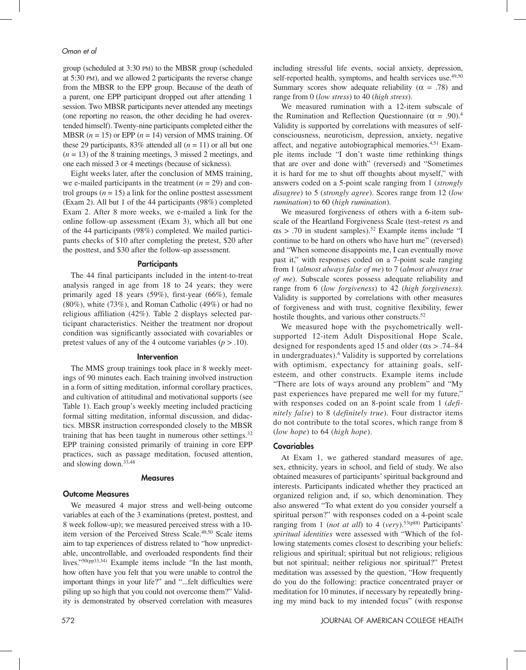group (scheduled at 3:30 PM) to the MBSR group (scheduled at 5:30 PM), and we allowed 2 participants the reverse change from the MBSR to the EPP group. Because of the death of a parent, one EPP participant dropped out after attending 1 session. Two MBSR participants never attended any meetings (one reporting no reason, the other deciding he had overextended himself). Twenty-nine participants completed either the MBSR  $(n = 15)$  or EPP  $(n = 14)$  version of MMS training. Of these 29 participants, 83% attended all  $(n = 11)$  or all but one  $(n = 13)$  of the 8 training meetings, 3 missed 2 meetings, and one each missed 3 or 4 meetings (because of sickness).

Eight weeks later, after the conclusion of MMS training, we e-mailed participants in the treatment  $(n = 29)$  and control groups  $(n = 15)$  a link for the online posttest assessment (Exam 2). All but 1 of the 44 participants (98%) completed Exam 2. After 8 more weeks, we e-mailed a link for the online follow-up assessment (Exam 3), which all but one of the 44 participants (98%) completed. We mailed participants checks of \$10 after completing the pretest, \$20 after the posttest, and \$30 after the follow-up assessment.

# **Participants**

The 44 final participants included in the intent-to-treat analysis ranged in age from 18 to 24 years; they were primarily aged 18 years (59%), first-year (66%), female (80%), white (73%), and Roman Catholic (49%) or had no religious affiliation (42%). Table 2 displays selected participant characteristics. Neither the treatment nor dropout condition was significantly associated with covariables or pretest values of any of the 4 outcome variables  $(p > .10)$ .

#### **Intervention**

The MMS group trainings took place in 8 weekly meetings of 90 minutes each. Each training involved instruction in a form of sitting meditation, informal corollary practices, and cultivation of attitudinal and motivational supports (see Table 1). Each group's weekly meeting included practicing formal sitting meditation, informal discussion, and didactics. MBSR instruction corresponded closely to the MBSR training that has been taught in numerous other settings. $32$ EPP training consisted primarily of training in core EPP practices, such as passage meditation, focused attention, and slowing down.33,48

### **Measures**

#### Outcome Measures

We measured 4 major stress and well-being outcome variables at each of the 3 examinations (pretest, posttest, and 8 week follow-up); we measured perceived stress with a 10 item version of the Perceived Stress Scale.<sup>49,50</sup> Scale items aim to tap experiences of distress related to "how unpredictable, uncontrollable, and overloaded respondents find their lives."50(pp33,34) Example items include "In the last month, how often have you felt that you were unable to control the important things in your life?" and "...felt difficulties were piling up so high that you could not overcome them?" Validity is demonstrated by observed correlation with measures including stressful life events, social anxiety, depression, self-reported health, symptoms, and health services use.<sup>49,50</sup> Summary scores show adequate reliability ( $\alpha = .78$ ) and range from 0 (*low stress*) to 40 (*high stress*).

We measured rumination with a 12-item subscale of the Rumination and Reflection Questionnaire ( $\alpha = .90$ ).<sup>4</sup> Validity is supported by correlations with measures of selfconsciousness, neuroticism, depression, anxiety, negative affect, and negative autobiographical memories.4,51 Example items include "I don't waste time rethinking things that are over and done with" (reversed) and "Sometimes it is hard for me to shut off thoughts about myself," with answers coded on a 5-point scale ranging from 1 (*strongly disagree*) to 5 (*strongly agree*). Scores range from 12 (*low rumination*) to 60 (*high rumination*).

We measured forgiveness of others with a 6-item subscale of the Heartland Forgiveness Scale (test–retest *r*s and  $\alpha$ s > .70 in student samples).<sup>52</sup> Example items include "I continue to be hard on others who have hurt me" (reversed) and "When someone disappoints me, I can eventually move past it," with responses coded on a 7-point scale ranging from 1 (*almost always false of me*) to 7 (*almost always true of me*). Subscale scores possess adequate reliability and range from 6 (*low forgiveness*) to 42 (*high forgiveness*). Validity is supported by correlations with other measures of forgiveness and with trust, cognitive flexibility, fewer hostile thoughts, and various other constructs.<sup>52</sup>

We measured hope with the psychometrically wellsupported 12-item Adult Dispositional Hope Scale, designed for respondents aged 15 and older ( $\alpha$ s > .74–84 in undergraduates).6 Validity is supported by correlations with optimism, expectancy for attaining goals, selfesteem, and other constructs. Example items include "There are lots of ways around any problem" and "My past experiences have prepared me well for my future," with responses coded on an 8-point scale from 1 (*definitely false*) to 8 (*definitely true*). Four distractor items do not contribute to the total scores, which range from 8 (*low hope*) to 64 (*high hope*).

# Covariables

At Exam 1, we gathered standard measures of age, sex, ethnicity, years in school, and field of study. We also obtained measures of participants' spiritual background and interests. Participants indicated whether they practiced an organized religion and, if so, which denomination. They also answered "To what extent do you consider yourself a spiritual person?" with responses coded on a 4-point scale ranging from 1 (*not at all*) to 4 (*very*).<sup>53(p88)</sup> Participants' *spiritual identities* were assessed with "Which of the following statements comes closest to describing your beliefs: religious and spiritual; spiritual but not religious; religious but not spiritual; neither religious nor spiritual?" Pretest meditation was assessed by the question, "How frequently do you do the following: practice concentrated prayer or meditation for 10 minutes, if necessary by repeatedly bringing my mind back to my intended focus" (with response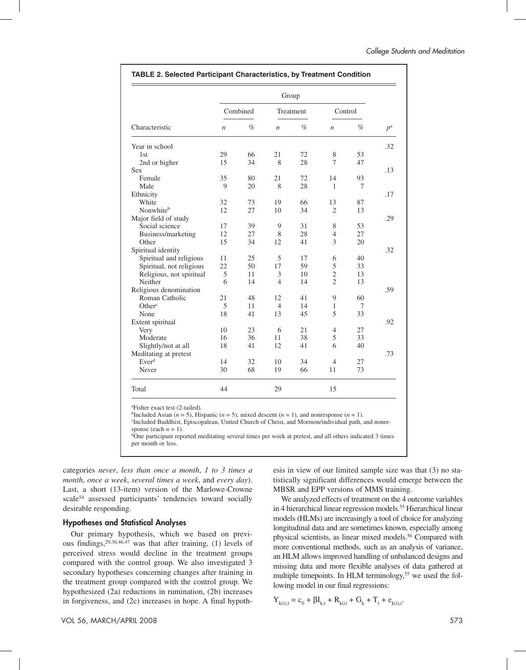| Characteristic           | Group            |      |                  |      |                  |      |             |
|--------------------------|------------------|------|------------------|------|------------------|------|-------------|
|                          | Combined         |      | Treatment        |      | Control          |      |             |
|                          | $\boldsymbol{n}$ | $\%$ | $\boldsymbol{n}$ | $\%$ | $\boldsymbol{n}$ | $\%$ | $p^{\rm a}$ |
| Year in school           |                  |      |                  |      |                  |      | .32         |
| 1st                      | 29               | 66   | 21               | 72   | 8                | 53   |             |
| 2nd or higher            | 15               | 34   | 8                | 28   | 7                | 47   |             |
| <b>Sex</b>               |                  |      |                  |      |                  |      | .13         |
| Female                   | 35               | 80   | 21               | 72   | 14               | 93   |             |
| Male                     | 9                | 20   | 8                | 28   | 1                | 7    |             |
| Ethnicity                |                  |      |                  |      |                  |      | .17         |
| White                    | 32               | 73   | 19               | 66   | 13               | 87   |             |
| Nonwhiteb                | 12               | 27   | 10               | 34   | $\overline{c}$   | 13   |             |
| Major field of study     |                  |      |                  |      |                  |      | .29         |
| Social science           | 17               | 39   | 9                | 31   | 8                | 53   |             |
| Business/marketing       | 12               | 27   | 8                | 28   | $\overline{4}$   | 27   |             |
| Other                    | 15               | 34   | 12               | 41   | 3                | 20   |             |
| Spiritual identity       |                  |      |                  |      |                  |      | .32         |
| Spiritual and religious  | 11               | 25   | 5                | 17   | 6                | 40   |             |
| Spiritual, not religious | 22               | 50   | 17               | 59   | 5                | 33   |             |
| Religious, not spiritual | 5                | 11   | 3                | 10   | $\overline{2}$   | 13   |             |
| Neither                  | 6                | 14   | $\overline{4}$   | 14   | $\overline{c}$   | 13   |             |
| Religious denomination   |                  |      |                  |      |                  |      | .59         |
| Roman Catholic           | 21               | 48   | 12               | 41   | 9                | 60   |             |
| Other <sup>c</sup>       | 5                | 11   | $\overline{4}$   | 14   | 1                | 7    |             |
| None                     | 18               | 41   | 13               | 45   | 5                | 33   |             |
| Extent spiritual         |                  |      |                  |      |                  |      | .92         |
| Very                     | 10               | 23   | 6                | 21   | 4                | 27   |             |
| Moderate                 | 16               | 36   | 11               | 38   | 5                | 33   |             |
| Slightly/not at all      | 18               | 41   | 12               | 41   | 6                | 40   |             |
| Meditating at pretest    |                  |      |                  |      |                  |      | .73         |
| Ever <sup>d</sup>        | 14               | 32   | 10               | 34   | $\overline{4}$   | 27   |             |
| Never                    | 30               | 68   | 19               | 66   | 11               | 73   |             |

a Fisher exact test (2-tailed).

 $b<sup>b</sup>$ Included Asian (*n* = 5), Hispanic (*n* = 5), mixed descent (*n* = 1), and nonresponse (*n* = 1).

<sup>c</sup>Included Buddhist, Episcopalean, United Church of Christ, and Mormon/individual path, and nonresponse (each  $n = 1$ ).<br>
<sup>d</sup>One participant reported meditating several times per week at pretest, and all others indicated 3 times

per month or less.

categories *never*, *less than once a month*, *1 to 3 times a month*, *once a week*, *several times a week*, and *every day*). Last, a short (13-item) version of the Marlowe-Crowne scale<sup>54</sup> assessed participants' tendencies toward socially desirable responding.

# Hypotheses and Statistical Analyses

Our primary hypothesis, which we based on previous findings,  $29,30,46,47$  was that after training, (1) levels of perceived stress would decline in the treatment groups compared with the control group. We also investigated 3 secondary hypotheses concerning changes after training in the treatment group compared with the control group. We hypothesized (2a) reductions in rumination, (2b) increases in forgiveness, and (2c) increases in hope. A final hypothesis in view of our limited sample size was that (3) no statistically significant differences would emerge between the MBSR and EPP versions of MMS training.

We analyzed effects of treatment on the 4 outcome variables in 4 hierarchical linear regression models.<sup>55</sup> Hierarchical linear models (HLMs) are increasingly a tool of choice for analyzing longitudinal data and are sometimes known, especially among physical scientists, as linear mixed models.56 Compared with more conventional methods, such as an analysis of variance, an HLM allows improved handling of unbalanced designs and missing data and more flexible analyses of data gathered at multiple timepoints. In HLM terminology,<sup>55</sup> we used the following model in our final regressions:

$$
Y_{k(i),t} = c_0 + \beta I_{k,t} + R_{k(i)} + G_k + T_t + e_{k(i),t}.
$$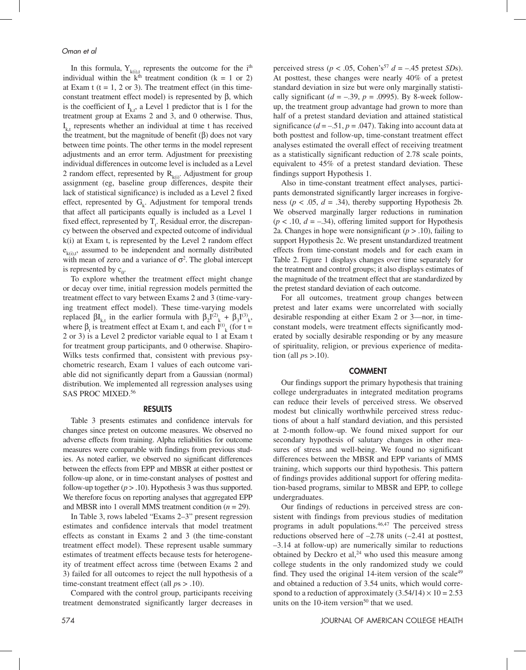In this formula,  $Y_{k(i),t}$  represents the outcome for the i<sup>th</sup> individual within the  $K<sup>th</sup>$  treatment condition (k = 1 or 2) at Exam t ( $t = 1, 2$  or 3). The treatment effect (in this timeconstant treatment effect model) is represented by β, which is the coefficient of  $I_{k,t}$ , a Level 1 predictor that is 1 for the treatment group at Exams 2 and 3, and 0 otherwise. Thus,  $I_{k,t}$  represents whether an individual at time t has received the treatment, but the magnitude of benefit  $(β)$  does not vary between time points. The other terms in the model represent adjustments and an error term. Adjustment for preexisting individual differences in outcome level is included as a Level 2 random effect, represented by  $R_{k(i)}$ . Adjustment for group assignment (eg, baseline group differences, despite their lack of statistical significance) is included as a Level 2 fixed effect, represented by  $G_k$ . Adjustment for temporal trends that affect all participants equally is included as a Level 1 fixed effect, represented by  $T_t$ . Residual error, the discrepancy between the observed and expected outcome of individual k(i) at Exam t, is represented by the Level 2 random effect  $e_{k(i),t}$ , assumed to be independent and normally distributed with mean of zero and a variance of  $\sigma^2$ . The global intercept is represented by  $c_0$ .

To explore whether the treatment effect might change or decay over time, initial regression models permitted the treatment effect to vary between Exams 2 and 3 (time-varying treatment effect model). These time-varying models replaced  $\beta I_{k,t}$  in the earlier formula with  $\beta_2 I^{(2)}_{k} + \beta_3 I^{(3)}_{k}$ , where  $\beta_t$  is treatment effect at Exam t, and each  $I^{(t)}_{k}$  (for t = 2 or 3) is a Level 2 predictor variable equal to 1 at Exam t for treatment group participants, and 0 otherwise. Shapiro-Wilks tests confirmed that, consistent with previous psychometric research, Exam 1 values of each outcome variable did not significantly depart from a Gaussian (normal) distribution. We implemented all regression analyses using SAS PROC MIXED.56

#### RESULTS

Table 3 presents estimates and confidence intervals for changes since pretest on outcome measures. We observed no adverse effects from training. Alpha reliabilities for outcome measures were comparable with findings from previous studies. As noted earlier, we observed no significant differences between the effects from EPP and MBSR at either posttest or follow-up alone, or in time-constant analyses of posttest and follow-up together  $(p > .10)$ . Hypothesis 3 was thus supported. We therefore focus on reporting analyses that aggregated EPP and MBSR into 1 overall MMS treatment condition (*n* = 29).

In Table 3, rows labeled "Exams 2–3" present regression estimates and confidence intervals that model treatment effects as constant in Exams 2 and 3 (the time-constant treatment effect model). These represent usable summary estimates of treatment effects because tests for heterogeneity of treatment effect across time (between Exams 2 and 3) failed for all outcomes to reject the null hypothesis of a time-constant treatment effect (all  $ps > .10$ ).

Compared with the control group, participants receiving treatment demonstrated significantly larger decreases in perceived stress ( $p < .05$ , Cohen's<sup>57</sup>  $d = -.45$  pretest *SDs*). At posttest, these changes were nearly 40% of a pretest standard deviation in size but were only marginally statistically significant ( $d = -.39$ ,  $p = .0995$ ). By 8-week followup, the treatment group advantage had grown to more than half of a pretest standard deviation and attained statistical significance  $(d = -0.51, p = 0.047)$ . Taking into account data at both posttest and follow-up, time-constant treatment effect analyses estimated the overall effect of receiving treatment as a statistically significant reduction of 2.78 scale points, equivalent to 45% of a pretest standard deviation. These findings support Hypothesis 1.

Also in time-constant treatment effect analyses, participants demonstrated significantly larger increases in forgiveness ( $p < .05$ ,  $d = .34$ ), thereby supporting Hypothesis 2b. We observed marginally larger reductions in rumination  $(p < .10, d = -.34)$ , offering limited support for Hypothesis 2a. Changes in hope were nonsignificant  $(p > .10)$ , failing to support Hypothesis 2c. We present unstandardized treatment effects from time-constant models and for each exam in Table 2. Figure 1 displays changes over time separately for the treatment and control groups; it also displays estimates of the magnitude of the treatment effect that are standardized by the pretest standard deviation of each outcome.

For all outcomes, treatment group changes between pretest and later exams were uncorrelated with socially desirable responding at either Exam 2 or 3—nor, in timeconstant models, were treatment effects significantly moderated by socially desirable responding or by any measure of spirituality, religion, or previous experience of meditation (all *p*s >.10).

#### COMMENT

Our findings support the primary hypothesis that training college undergraduates in integrated meditation programs can reduce their levels of perceived stress. We observed modest but clinically worthwhile perceived stress reductions of about a half standard deviation, and this persisted at 2-month follow-up. We found mixed support for our secondary hypothesis of salutary changes in other measures of stress and well-being. We found no significant differences between the MBSR and EPP variants of MMS training, which supports our third hypothesis. This pattern of findings provides additional support for offering meditation-based programs, similar to MBSR and EPP, to college undergraduates.

Our findings of reductions in perceived stress are consistent with findings from previous studies of meditation programs in adult populations.46,47 The perceived stress reductions observed here of –2.78 units (–2.41 at posttest, –3.14 at follow-up) are numerically similar to reductions obtained by Deckro et al, $24$  who used this measure among college students in the only randomized study we could find. They used the original 14-item version of the scale $49$ and obtained a reduction of 3.54 units, which would correspond to a reduction of approximately  $(3.54/14) \times 10 = 2.53$ units on the 10-item version $50$  that we used.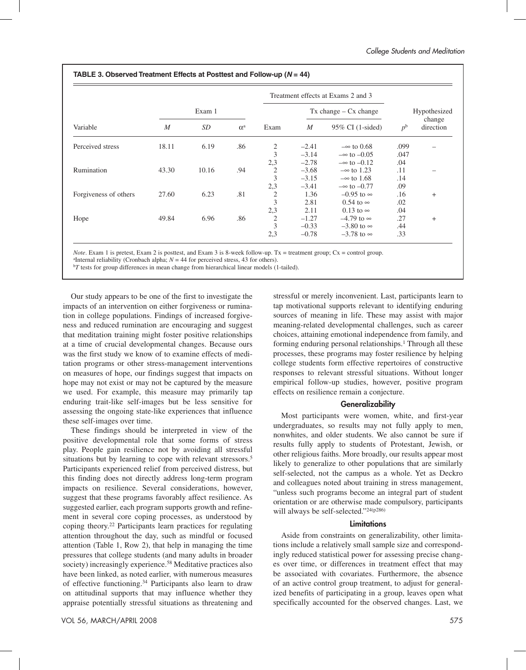| Variable              |                  |       |                       | Treatment effects at Exams 2 and 3 |                         |                      |             |                     |
|-----------------------|------------------|-------|-----------------------|------------------------------------|-------------------------|----------------------|-------------|---------------------|
|                       | Exam 1           |       |                       |                                    | $Tx change - Cx change$ |                      |             | Hypothesized        |
|                       | $\boldsymbol{M}$ | SD    | $\alpha$ <sup>a</sup> | Exam                               | $\boldsymbol{M}$        | 95% CI (1-sided)     | $p^{\rm b}$ | change<br>direction |
| Perceived stress      | 18.11            | 6.19  | .86                   | 2                                  | $-2.41$                 | $-\infty$ to 0.68    | .099        |                     |
|                       |                  |       |                       | 3                                  | $-3.14$                 | $-\infty$ to $-0.05$ | .047        |                     |
|                       |                  |       |                       | 2,3                                | $-2.78$                 | $-\infty$ to $-0.12$ | .04         |                     |
| Rumination            | 43.30            | 10.16 | .94                   | $\overline{2}$                     | $-3.68$                 | $-\infty$ to 1.23    | .11         |                     |
|                       |                  |       |                       | 3                                  | $-3.15$                 | $-\infty$ to 1.68    | .14         |                     |
|                       |                  |       |                       | 2,3                                | $-3.41$                 | $-\infty$ to $-0.77$ | .09         |                     |
| Forgiveness of others | 27.60            | 6.23  | .81                   | $\overline{c}$                     | 1.36                    | $-0.95$ to $\infty$  | .16         | $\ddot{}$           |
|                       |                  |       |                       | 3                                  | 2.81                    | $0.54$ to $\infty$   | .02         |                     |
|                       |                  |       |                       | 2,3                                | 2.11                    | $0.13$ to $\infty$   | .04         |                     |
| Hope                  | 49.84            | 6.96  | .86                   | 2                                  | $-1.27$                 | $-4.79$ to $\infty$  | .27         | $+$                 |
|                       |                  |       |                       | 3                                  | $-0.33$                 | $-3.80$ to $\infty$  | .44         |                     |
|                       |                  |       |                       | 2,3                                | $-0.78$                 | $-3.78$ to $\infty$  | .33         |                     |

*Note*. Exam 1 is pretest, Exam 2 is posttest, and Exam 3 is 8-week follow-up. Tx = treatment group; Cx = control group.

<sup>a</sup> Internal reliability (Cronbach alpha;  $N = 44$  for perceived stress, 43 for others).  $b^pT$  tests for group differences in mean change from bierarchical linear models (1)

 $T$  tests for group differences in mean change from hierarchical linear models (1-tailed).

Our study appears to be one of the first to investigate the impacts of an intervention on either forgiveness or rumination in college populations. Findings of increased forgiveness and reduced rumination are encouraging and suggest that meditation training might foster positive relationships at a time of crucial developmental changes. Because ours was the first study we know of to examine effects of meditation programs or other stress-management interventions on measures of hope, our findings suggest that impacts on hope may not exist or may not be captured by the measure we used. For example, this measure may primarily tap enduring trait-like self-images but be less sensitive for assessing the ongoing state-like experiences that influence these self-images over time.

These findings should be interpreted in view of the positive developmental role that some forms of stress play. People gain resilience not by avoiding all stressful situations but by learning to cope with relevant stressors.<sup>5</sup> Participants experienced relief from perceived distress, but this finding does not directly address long-term program impacts on resilience. Several considerations, however, suggest that these programs favorably affect resilience. As suggested earlier, each program supports growth and refinement in several core coping processes, as understood by coping theory.22 Participants learn practices for regulating attention throughout the day, such as mindful or focused attention (Table 1, Row 2), that help in managing the time pressures that college students (and many adults in broader society) increasingly experience.<sup>58</sup> Meditative practices also have been linked, as noted earlier, with numerous measures of effective functioning.34 Participants also learn to draw on attitudinal supports that may influence whether they appraise potentially stressful situations as threatening and

stressful or merely inconvenient. Last, participants learn to tap motivational supports relevant to identifying enduring sources of meaning in life. These may assist with major meaning-related developmental challenges, such as career choices, attaining emotional independence from family, and forming enduring personal relationships.<sup>1</sup> Through all these processes, these programs may foster resilience by helping college students form effective repertoires of constructive responses to relevant stressful situations. Without longer empirical follow-up studies, however, positive program effects on resilience remain a conjecture.

### **Generalizability**

Most participants were women, white, and first-year undergraduates, so results may not fully apply to men, nonwhites, and older students. We also cannot be sure if results fully apply to students of Protestant, Jewish, or other religious faiths. More broadly, our results appear most likely to generalize to other populations that are similarly self-selected, not the campus as a whole. Yet as Deckro and colleagues noted about training in stress management, "unless such programs become an integral part of student orientation or are otherwise made compulsory, participants will always be self-selected."24(p286)

#### **Limitations**

Aside from constraints on generalizability, other limitations include a relatively small sample size and correspondingly reduced statistical power for assessing precise changes over time, or differences in treatment effect that may be associated with covariates. Furthermore, the absence of an active control group treatment, to adjust for generalized benefits of participating in a group, leaves open what specifically accounted for the observed changes. Last, we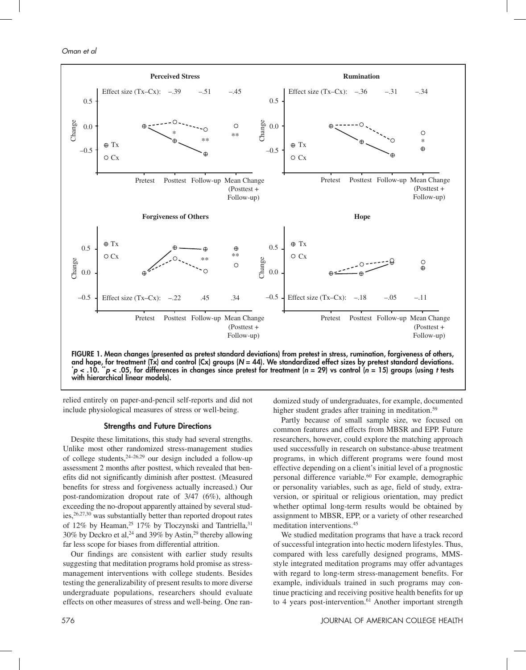Oman et al



relied entirely on paper-and-pencil self-reports and did not include physiological measures of stress or well-being.

# Strengths and Future Directions

Despite these limitations, this study had several strengths. Unlike most other randomized stress-management studies of college students,24–26,29 our design included a follow-up assessment 2 months after posttest, which revealed that benefits did not significantly diminish after posttest. (Measured benefits for stress and forgiveness actually increased.) Our post-randomization dropout rate of 3/47 (6%), although exceeding the no-dropout apparently attained by several studies,26,27,30 was substantially better than reported dropout rates of 12% by Heaman,<sup>25</sup> 17% by Tloczynski and Tantriella,<sup>31</sup> 30% by Deckro et al,<sup>24</sup> and 39% by Astin,<sup>29</sup> thereby allowing far less scope for biases from differential attrition.

Our findings are consistent with earlier study results suggesting that meditation programs hold promise as stressmanagement interventions with college students. Besides testing the generalizability of present results to more diverse undergraduate populations, researchers should evaluate effects on other measures of stress and well-being. One randomized study of undergraduates, for example, documented higher student grades after training in meditation.<sup>59</sup>

Partly because of small sample size, we focused on common features and effects from MBSR and EPP. Future researchers, however, could explore the matching approach used successfully in research on substance-abuse treatment programs, in which different programs were found most effective depending on a client's initial level of a prognostic personal difference variable.<sup>60</sup> For example, demographic or personality variables, such as age, field of study, extraversion, or spiritual or religious orientation, may predict whether optimal long-term results would be obtained by assignment to MBSR, EPP, or a variety of other researched meditation interventions.45

We studied meditation programs that have a track record of successful integration into hectic modern lifestyles. Thus, compared with less carefully designed programs, MMSstyle integrated meditation programs may offer advantages with regard to long-term stress-management benefits. For example, individuals trained in such programs may continue practicing and receiving positive health benefits for up to 4 years post-intervention.<sup>61</sup> Another important strength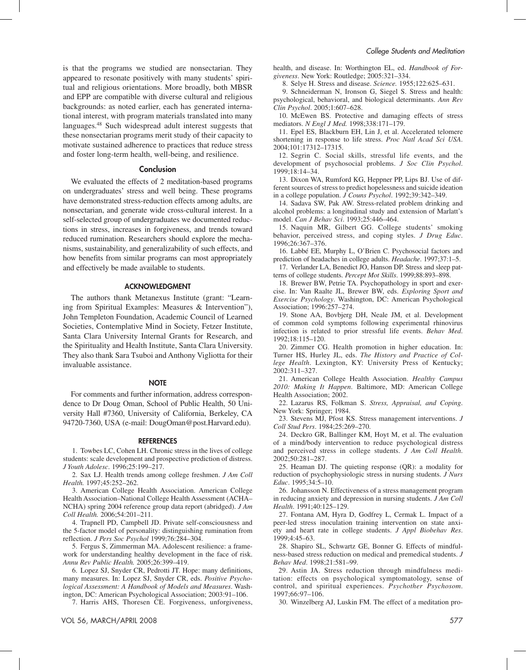is that the programs we studied are nonsectarian. They appeared to resonate positively with many students' spiritual and religious orientations. More broadly, both MBSR and EPP are compatible with diverse cultural and religious backgrounds: as noted earlier, each has generated international interest, with program materials translated into many languages.48 Such widespread adult interest suggests that these nonsectarian programs merit study of their capacity to motivate sustained adherence to practices that reduce stress and foster long-term health, well-being, and resilience.

#### Conclusion

We evaluated the effects of 2 meditation-based programs on undergraduates' stress and well being. These programs have demonstrated stress-reduction effects among adults, are nonsectarian, and generate wide cross-cultural interest. In a self-selected group of undergraduates we documented reductions in stress, increases in forgiveness, and trends toward reduced rumination. Researchers should explore the mechanisms, sustainability, and generalizability of such effects, and how benefits from similar programs can most appropriately and effectively be made available to students.

#### ACKNOWLEDGMENT

The authors thank Metanexus Institute (grant: "Learning from Spiritual Examples: Measures & Intervention"), John Templeton Foundation, Academic Council of Learned Societies, Contemplative Mind in Society, Fetzer Institute, Santa Clara University Internal Grants for Research, and the Spirituality and Health Institute, Santa Clara University. They also thank Sara Tsuboi and Anthony Vigliotta for their invaluable assistance.

#### **NOTE**

For comments and further information, address correspondence to Dr Doug Oman, School of Public Health, 50 University Hall #7360, University of California, Berkeley, CA 94720-7360, USA (e-mail: DougOman@post.Harvard.edu).

#### REFERENCES

 1. Towbes LC, Cohen LH. Chronic stress in the lives of college students: scale development and prospective prediction of distress. *J Youth Adolesc*. 1996;25:199–217.

 2. Sax LJ. Health trends among college freshmen. *J Am Coll Health.* 1997;45:252–262.

 3. American College Health Association. American College Health Association–National College Health Assessment (ACHA– NCHA) spring 2004 reference group data report (abridged). *J Am Coll Health.* 2006;54:201–211.

 4. Trapnell PD, Campbell JD. Private self-consciousness and the 5-factor model of personality: distinguishing rumination from reflection. *J Pers Soc Psychol* 1999;76:284–304.

 5. Fergus S, Zimmerman MA. Adolescent resilience: a framework for understanding healthy development in the face of risk. *Annu Rev Public Health.* 2005;26:399–419.

 6. Lopez SJ, Snyder CR, Pedrotti JT. Hope: many definitions, many measures. In: Lopez SJ, Snyder CR, eds. *Positive Psychological Assessment: A Handbook of Models and Measures*. Washington, DC: American Psychological Association; 2003:91–106.

7. Harris AHS, Thoresen CE. Forgiveness, unforgiveness,

health, and disease. In: Worthington EL, ed. *Handbook of Forgiveness*. New York: Routledge; 2005:321–334.

8. Selye H. Stress and disease. *Science.* 1955;122:625–631.

 9. Schneiderman N, Ironson G, Siegel S. Stress and health: psychological, behavioral, and biological determinants. *Ann Rev Clin Psychol*. 2005;1:607–628.

 10. McEwen BS. Protective and damaging effects of stress mediators. *N Engl J Med.* 1998;338:171–179.

 11. Epel ES, Blackburn EH, Lin J, et al. Accelerated telomere shortening in response to life stress. *Proc Natl Acad Sci USA*. 2004;101:17312–17315.

 12. Segrin C. Social skills, stressful life events, and the development of psychosocial problems. *J Soc Clin Psychol*. 1999;18:14–34.

 13. Dixon WA, Rumford KG, Heppner PP, Lips BJ. Use of different sources of stress to predict hopelessness and suicide ideation in a college population. *J Couns Psychol*. 1992;39:342–349.

 14. Sadava SW, Pak AW. Stress-related problem drinking and alcohol problems: a longitudinal study and extension of Marlatt's model. *Can J Behav Sci*. 1993;25:446–464.

 15. Naquin MR, Gilbert GG. College students' smoking behavior, perceived stress, and coping styles. *J Drug Educ*. 1996;26:367–376.

 16. Labbé EE, Murphy L, O'Brien C. Psychosocial factors and prediction of headaches in college adults. *Headache*. 1997;37:1–5.

 17. Verlander LA, Benedict JO, Hanson DP. Stress and sleep patterns of college students. *Percept Mot Skills*. 1999;88:893–898.

 18. Brewer BW, Petrie TA. Psychopathology in sport and exercise. In: Van Raalte JL, Brewer BW, eds. *Exploring Sport and Exercise Psychology*. Washington, DC: American Psychological Association; 1996:257–274.

 19. Stone AA, Bovbjerg DH, Neale JM, et al. Development of common cold symptoms following experimental rhinovirus infection is related to prior stressful life events. *Behav Med*. 1992;18:115–120.

 20. Zimmer CG. Health promotion in higher education. In: Turner HS, Hurley JL, eds. *The History and Practice of College Health*. Lexington, KY: University Press of Kentucky; 2002:311–327.

 21. American College Health Association. *Healthy Campus 2010: Making It Happen*. Baltimore, MD: American College Health Association; 2002.

 22. Lazarus RS, Folkman S. *Stress, Appraisal, and Coping*. New York: Springer; 1984.

 23. Stevens MJ, Pfost KS. Stress management interventions. *J Coll Stud Pers*. 1984;25:269–270.

 24. Deckro GR, Ballinger KM, Hoyt M, et al. The evaluation of a mind/body intervention to reduce psychological distress and perceived stress in college students. *J Am Coll Health*. 2002;50:281–287.

 25. Heaman DJ. The quieting response (QR): a modality for reduction of psychophysiologic stress in nursing students. *J Nurs Educ*. 1995;34:5–10.

 26. Johansson N. Effectiveness of a stress management program in reducing anxiety and depression in nursing students. *J Am Coll Health*. 1991;40:125–129.

 27. Fontana AM, Hyra D, Godfrey L, Cermak L. Impact of a peer-led stress inoculation training intervention on state anxiety and heart rate in college students. *J Appl Biobehav Res*. 1999;4:45–63.

 28. Shapiro SL, Schwartz GE, Bonner G. Effects of mindfulness-based stress reduction on medical and premedical students. *J Behav Med*. 1998;21:581–99.

 29. Astin JA. Stress reduction through mindfulness meditation: effects on psychological symptomatology, sense of control, and spiritual experiences. *Psychother Psychosom*. 1997;66:97–106.

30. Winzelberg AJ, Luskin FM. The effect of a meditation pro-